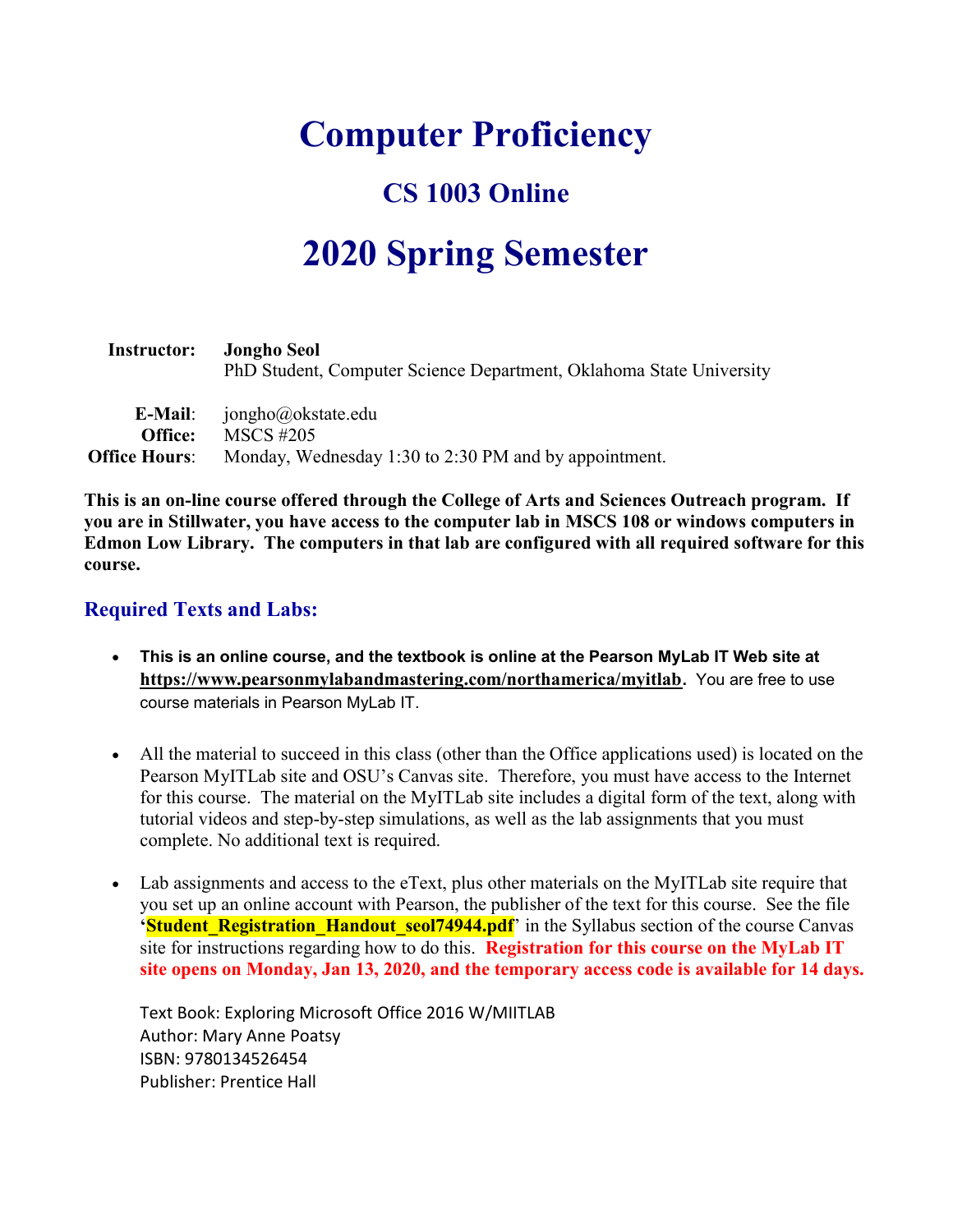# Computer Proficiency

# CS 1003 Online

# 2020 Spring Semester

| <b>Instructor:</b>   | <b>Jongho Seol</b><br>PhD Student, Computer Science Department, Oklahoma State University |
|----------------------|-------------------------------------------------------------------------------------------|
| E-Mail:              | jongho@okstate.edu                                                                        |
| Office:              | <b>MSCS</b> #205                                                                          |
| <b>Office Hours:</b> | Monday, Wednesday 1:30 to 2:30 PM and by appointment.                                     |

This is an on-line course offered through the College of Arts and Sciences Outreach program. If you are in Stillwater, you have access to the computer lab in MSCS 108 or windows computers in Edmon Low Library. The computers in that lab are configured with all required software for this course.

#### Required Texts and Labs:

- This is an online course, and the textbook is online at the Pearson MyLab IT Web site at https://www.pearsonmylabandmastering.com/northamerica/myitlab. You are free to use course materials in Pearson MyLab IT.
- All the material to succeed in this class (other than the Office applications used) is located on the Pearson MyITLab site and OSU's Canvas site. Therefore, you must have access to the Internet for this course. The material on the MyITLab site includes a digital form of the text, along with tutorial videos and step-by-step simulations, as well as the lab assignments that you must complete. No additional text is required.
- Lab assignments and access to the eText, plus other materials on the MyITLab site require that you set up an online account with Pearson, the publisher of the text for this course. See the file **'Student Registration Handout seol74944.pdf'** in the Syllabus section of the course Canvas site for instructions regarding how to do this. **Registration for this course on the MyLab IT** site opens on Monday, Jan 13, 2020, and the temporary access code is available for 14 days.

Text Book: Exploring Microsoft Office 2016 W/MIITLAB Author: Mary Anne Poatsy ISBN: 9780134526454 Publisher: Prentice Hall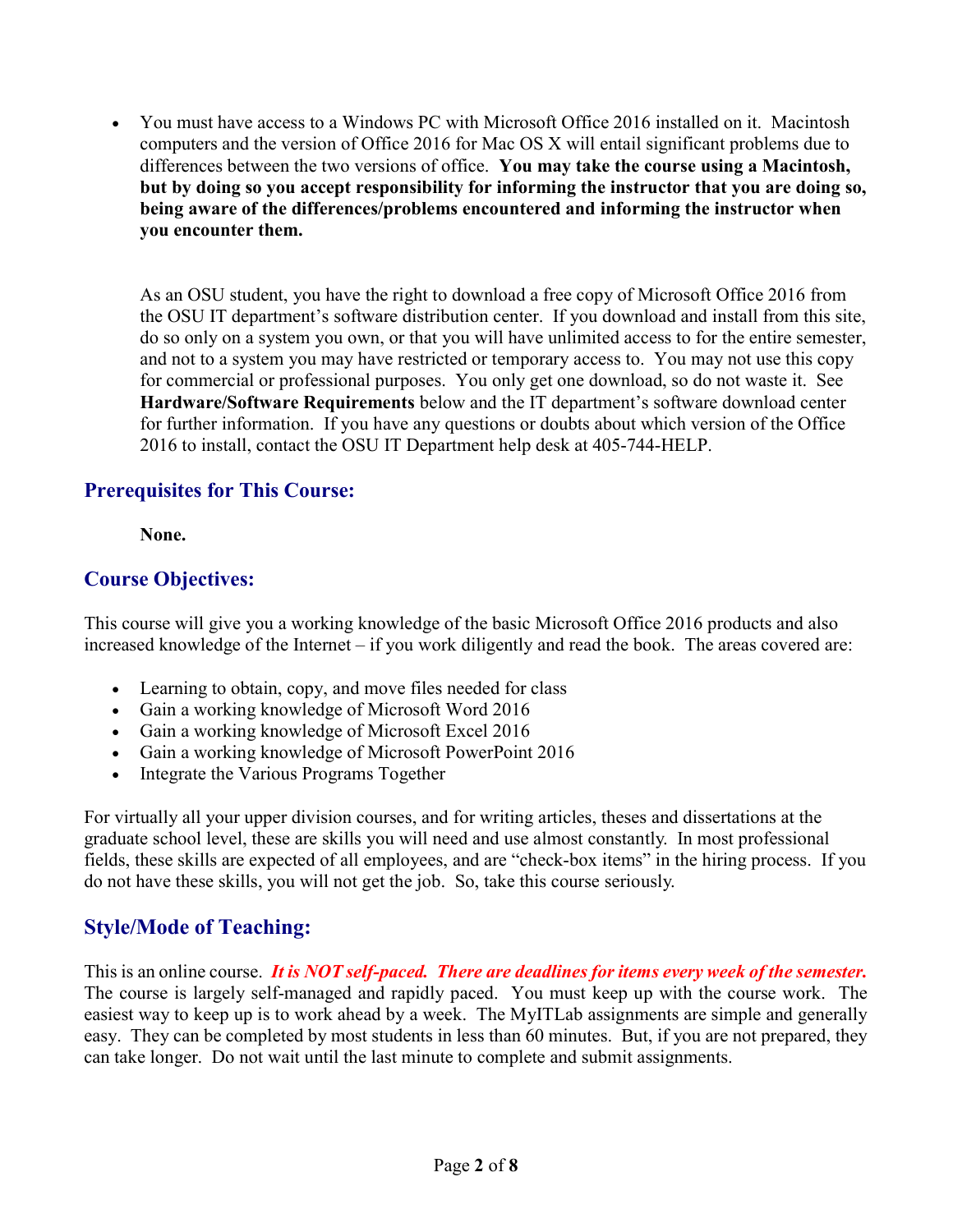You must have access to a Windows PC with Microsoft Office 2016 installed on it. Macintosh computers and the version of Office 2016 for Mac OS X will entail significant problems due to differences between the two versions of office. You may take the course using a Macintosh, but by doing so you accept responsibility for informing the instructor that you are doing so, being aware of the differences/problems encountered and informing the instructor when you encounter them.

As an OSU student, you have the right to download a free copy of Microsoft Office 2016 from the OSU IT department's software distribution center. If you download and install from this site, do so only on a system you own, or that you will have unlimited access to for the entire semester, and not to a system you may have restricted or temporary access to. You may not use this copy for commercial or professional purposes. You only get one download, so do not waste it. See Hardware/Software Requirements below and the IT department's software download center for further information. If you have any questions or doubts about which version of the Office 2016 to install, contact the OSU IT Department help desk at 405-744-HELP.

# Prerequisites for This Course:

None.

# Course Objectives:

This course will give you a working knowledge of the basic Microsoft Office 2016 products and also increased knowledge of the Internet – if you work diligently and read the book. The areas covered are:

- Learning to obtain, copy, and move files needed for class
- Gain a working knowledge of Microsoft Word 2016
- Gain a working knowledge of Microsoft Excel 2016
- Gain a working knowledge of Microsoft PowerPoint 2016
- Integrate the Various Programs Together

For virtually all your upper division courses, and for writing articles, theses and dissertations at the graduate school level, these are skills you will need and use almost constantly. In most professional fields, these skills are expected of all employees, and are "check-box items" in the hiring process. If you do not have these skills, you will not get the job. So, take this course seriously.

# Style/Mode of Teaching:

This is an online course. It is NOT self-paced. There are deadlines for items every week of the semester. The course is largely self-managed and rapidly paced. You must keep up with the course work. The easiest way to keep up is to work ahead by a week. The MyITLab assignments are simple and generally easy. They can be completed by most students in less than 60 minutes. But, if you are not prepared, they can take longer. Do not wait until the last minute to complete and submit assignments.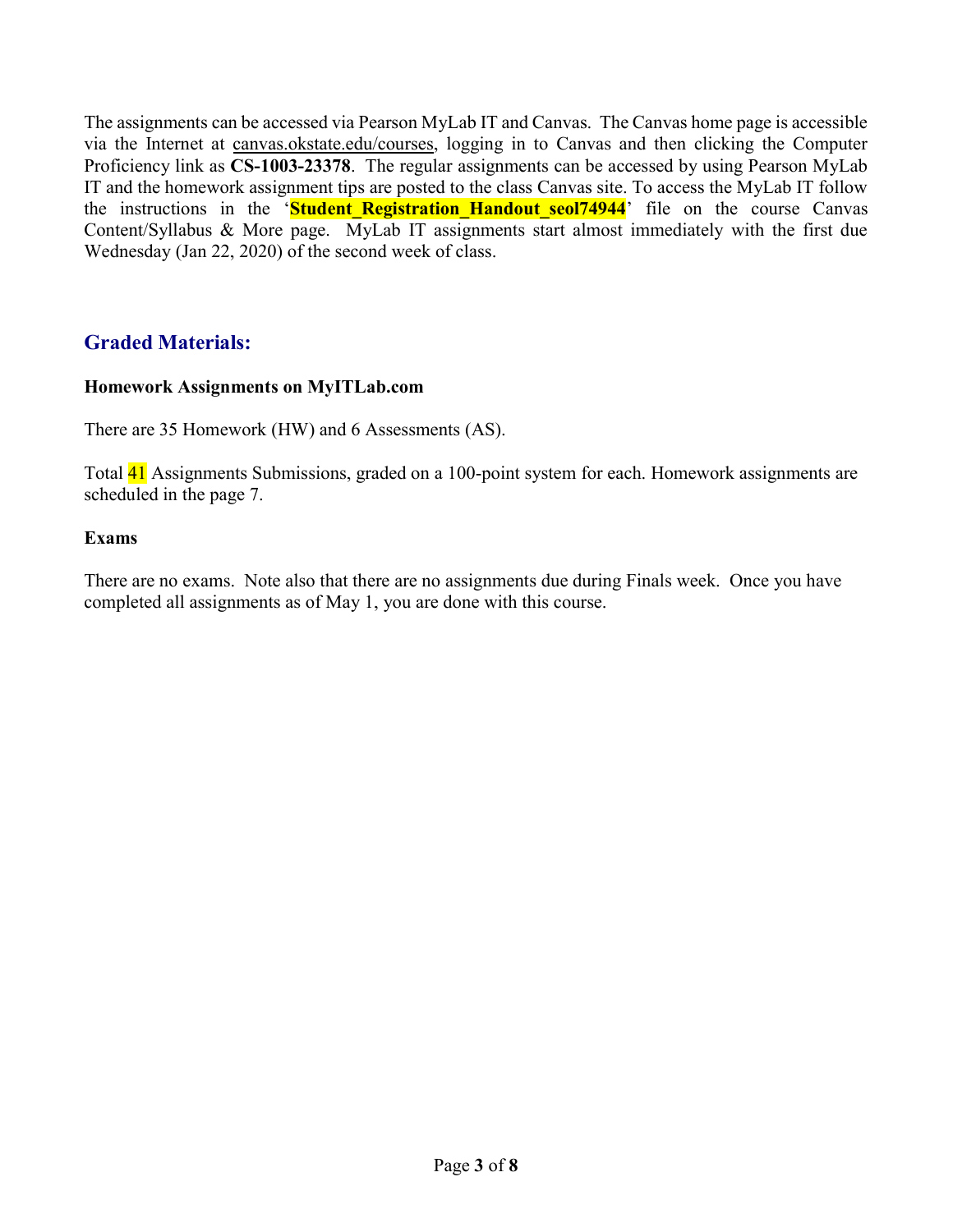The assignments can be accessed via Pearson MyLab IT and Canvas. The Canvas home page is accessible via the Internet at canvas.okstate.edu/courses, logging in to Canvas and then clicking the Computer Proficiency link as CS-1003-23378. The regular assignments can be accessed by using Pearson MyLab IT and the homework assignment tips are posted to the class Canvas site. To access the MyLab IT follow the instructions in the 'Student Registration Handout seol74944' file on the course Canvas Content/Syllabus & More page. MyLab IT assignments start almost immediately with the first due Wednesday (Jan 22, 2020) of the second week of class.

# Graded Materials:

#### Homework Assignments on MyITLab.com

There are 35 Homework (HW) and 6 Assessments (AS).

Total 41 Assignments Submissions, graded on a 100-point system for each. Homework assignments are scheduled in the page 7.

#### Exams

There are no exams. Note also that there are no assignments due during Finals week. Once you have completed all assignments as of May 1, you are done with this course.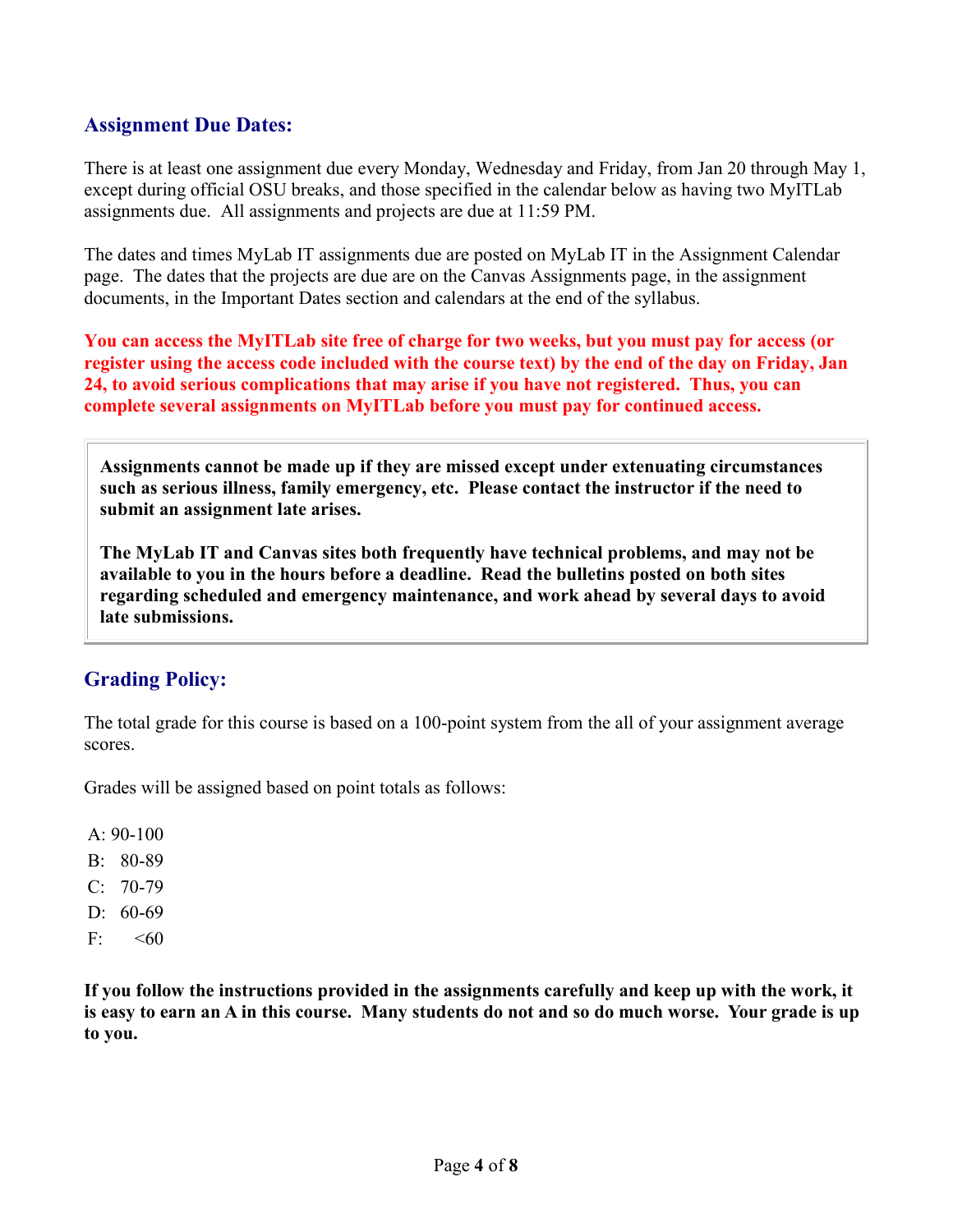## Assignment Due Dates:

There is at least one assignment due every Monday, Wednesday and Friday, from Jan 20 through May 1, except during official OSU breaks, and those specified in the calendar below as having two MyITLab assignments due. All assignments and projects are due at 11:59 PM.

The dates and times MyLab IT assignments due are posted on MyLab IT in the Assignment Calendar page. The dates that the projects are due are on the Canvas Assignments page, in the assignment documents, in the Important Dates section and calendars at the end of the syllabus.

You can access the MyITLab site free of charge for two weeks, but you must pay for access (or register using the access code included with the course text) by the end of the day on Friday, Jan 24, to avoid serious complications that may arise if you have not registered. Thus, you can complete several assignments on MyITLab before you must pay for continued access.

Assignments cannot be made up if they are missed except under extenuating circumstances such as serious illness, family emergency, etc. Please contact the instructor if the need to submit an assignment late arises.

The MyLab IT and Canvas sites both frequently have technical problems, and may not be available to you in the hours before a deadline. Read the bulletins posted on both sites regarding scheduled and emergency maintenance, and work ahead by several days to avoid late submissions.

#### Grading Policy:

The total grade for this course is based on a 100-point system from the all of your assignment average scores.

Grades will be assigned based on point totals as follows:

 $A: 90-100$ 

- B: 80-89
- $C: 70-79$
- D: 60-69
- $F: < 60$

If you follow the instructions provided in the assignments carefully and keep up with the work, it is easy to earn an A in this course. Many students do not and so do much worse. Your grade is up to you.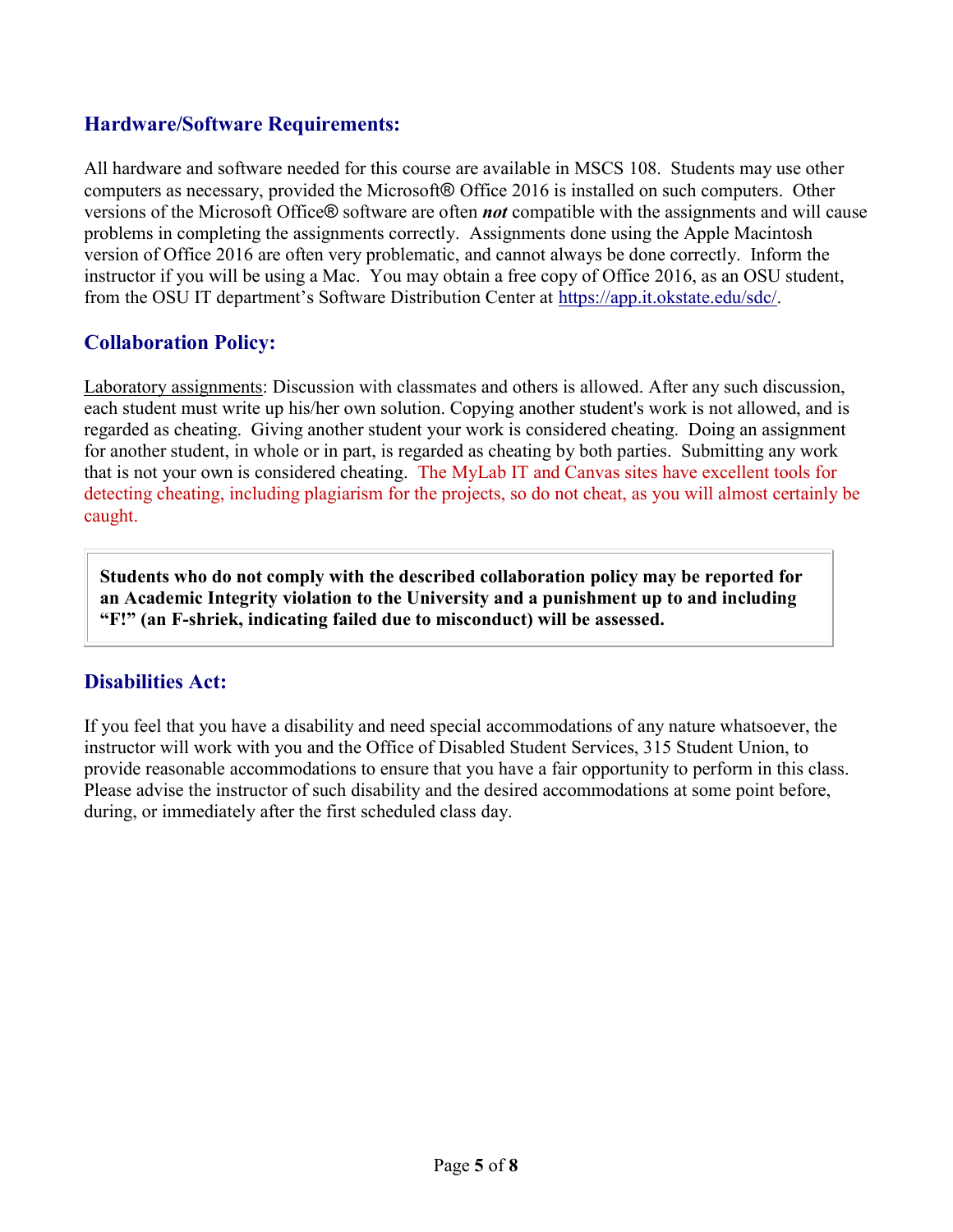## Hardware/Software Requirements:

All hardware and software needed for this course are available in MSCS 108. Students may use other computers as necessary, provided the Microsoft® Office 2016 is installed on such computers. Other versions of the Microsoft Office® software are often not compatible with the assignments and will cause problems in completing the assignments correctly. Assignments done using the Apple Macintosh version of Office 2016 are often very problematic, and cannot always be done correctly. Inform the instructor if you will be using a Mac. You may obtain a free copy of Office 2016, as an OSU student, from the OSU IT department's Software Distribution Center at https://app.it.okstate.edu/sdc/.

#### Collaboration Policy:

Laboratory assignments: Discussion with classmates and others is allowed. After any such discussion, each student must write up his/her own solution. Copying another student's work is not allowed, and is regarded as cheating. Giving another student your work is considered cheating. Doing an assignment for another student, in whole or in part, is regarded as cheating by both parties. Submitting any work that is not your own is considered cheating. The MyLab IT and Canvas sites have excellent tools for detecting cheating, including plagiarism for the projects, so do not cheat, as you will almost certainly be caught.

Students who do not comply with the described collaboration policy may be reported for an Academic Integrity violation to the University and a punishment up to and including "F!" (an F-shriek, indicating failed due to misconduct) will be assessed.

#### Disabilities Act:

If you feel that you have a disability and need special accommodations of any nature whatsoever, the instructor will work with you and the Office of Disabled Student Services, 315 Student Union, to provide reasonable accommodations to ensure that you have a fair opportunity to perform in this class. Please advise the instructor of such disability and the desired accommodations at some point before, during, or immediately after the first scheduled class day.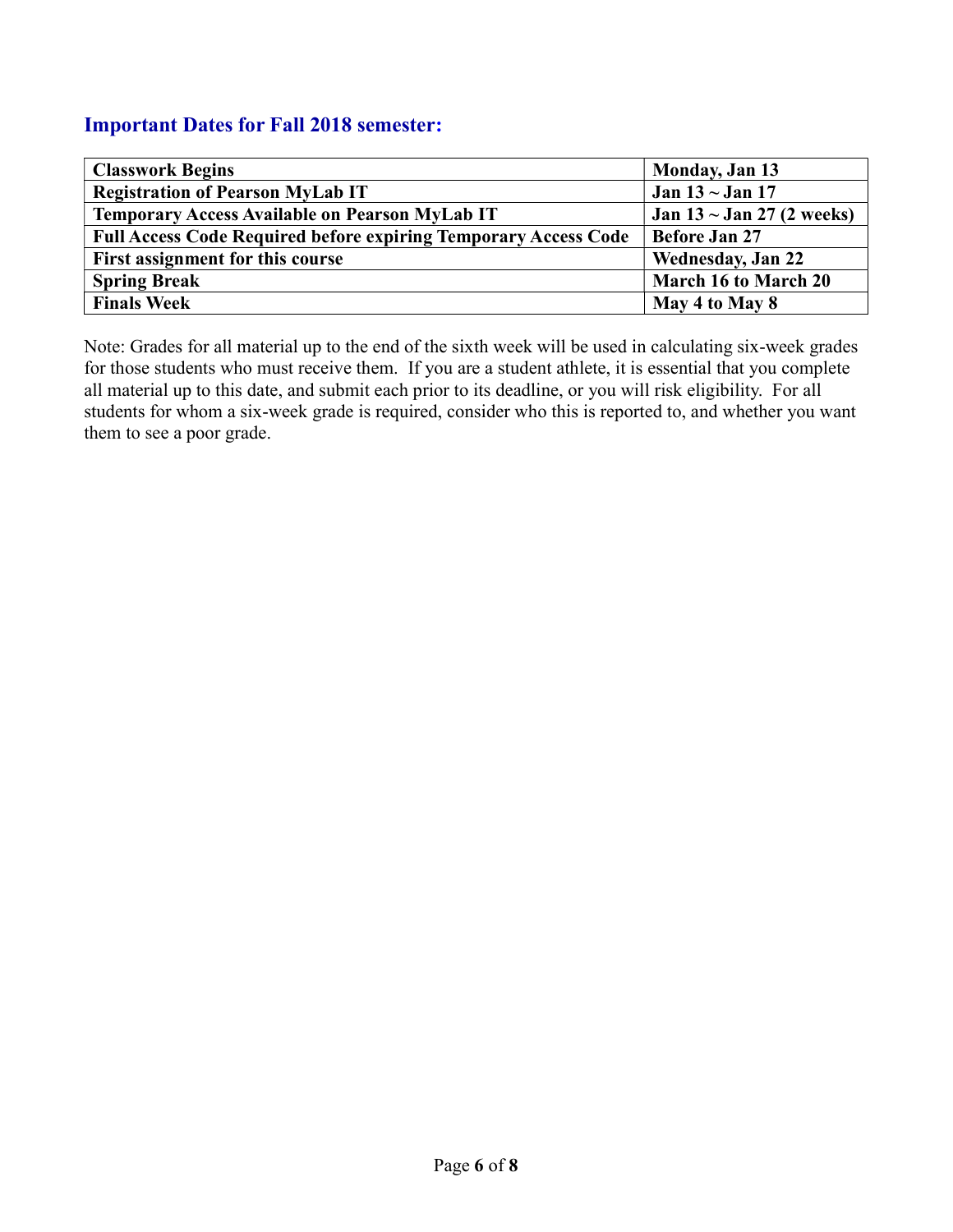## Important Dates for Fall 2018 semester:

| <b>Classwork Begins</b>                                                | Monday, Jan 13                 |  |  |
|------------------------------------------------------------------------|--------------------------------|--|--|
| <b>Registration of Pearson MyLab IT</b>                                | Jan $13 \sim$ Jan 17           |  |  |
| Temporary Access Available on Pearson MyLab IT                         | Jan $13 \sim$ Jan 27 (2 weeks) |  |  |
| <b>Full Access Code Required before expiring Temporary Access Code</b> | <b>Before Jan 27</b>           |  |  |
| First assignment for this course                                       | <b>Wednesday, Jan 22</b>       |  |  |
| <b>Spring Break</b>                                                    | March 16 to March 20           |  |  |
| <b>Finals Week</b>                                                     | May 4 to May 8                 |  |  |

Note: Grades for all material up to the end of the sixth week will be used in calculating six-week grades for those students who must receive them. If you are a student athlete, it is essential that you complete all material up to this date, and submit each prior to its deadline, or you will risk eligibility. For all students for whom a six-week grade is required, consider who this is reported to, and whether you want them to see a poor grade.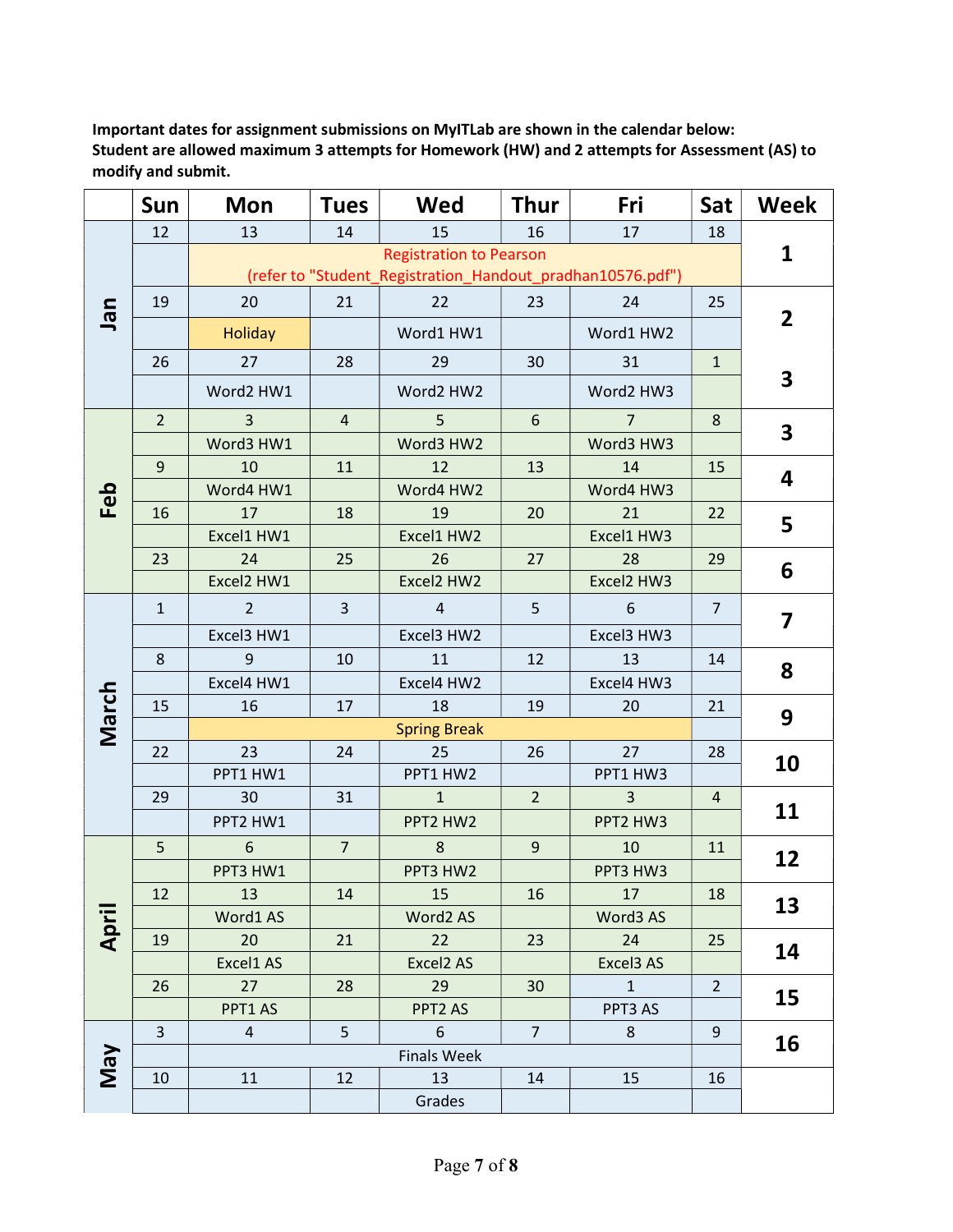Important dates for assignment submissions on MyITLab are shown in the calendar below: Student are allowed maximum 3 attempts for Homework (HW) and 2 attempts for Assessment (AS) to modify and submit.

|       | Sun            | <b>Mon</b>                                                                                   | <b>Tues</b>    | Wed            | <b>Thur</b>    | Fri            | Sat            | <b>Week</b>    |  |  |
|-------|----------------|----------------------------------------------------------------------------------------------|----------------|----------------|----------------|----------------|----------------|----------------|--|--|
|       | 12             | 13                                                                                           | 14             | 15             | 16             | 17             | 18             |                |  |  |
|       |                | <b>Registration to Pearson</b><br>(refer to "Student_Registration_Handout_pradhan10576.pdf") |                |                |                |                |                |                |  |  |
| uer   | 19             | 20                                                                                           | 21             | 22             | 23             | 24             | 25             | $\overline{2}$ |  |  |
|       |                | <b>Holiday</b>                                                                               |                | Word1 HW1      |                | Word1 HW2      |                |                |  |  |
|       | 26             | 27                                                                                           | 28             | 29             | 30             | 31             | $\mathbf{1}$   | 3              |  |  |
|       |                | Word2 HW1                                                                                    |                | Word2 HW2      |                | Word2 HW3      |                |                |  |  |
|       | 2 <sup>2</sup> | $\overline{3}$                                                                               | $\overline{4}$ | 5              | 6              | $\overline{7}$ | 8              | 3              |  |  |
|       |                | Word3 HW1                                                                                    |                | Word3 HW2      |                | Word3 HW3      |                |                |  |  |
|       | 9              | 10                                                                                           | 11             | 12             | 13             | 14             | 15             |                |  |  |
| Feb   |                | Word4 HW1                                                                                    |                | Word4 HW2      |                | Word4 HW3      |                | 4              |  |  |
|       | 16             | 17                                                                                           | 18             | 19             | 20             | 21             | 22             | 5              |  |  |
|       |                | Excel1 HW1                                                                                   |                | Excel1 HW2     |                | Excel1 HW3     |                |                |  |  |
|       | 23             | 24                                                                                           | 25             | 26             | 27             | 28             | 29             | 6              |  |  |
|       |                | Excel2 HW1                                                                                   |                | Excel2 HW2     |                | Excel2 HW3     |                |                |  |  |
| March | $\mathbf{1}$   | $\overline{2}$                                                                               | $\overline{3}$ | $\overline{4}$ | 5              | 6              | $\overline{7}$ | 7              |  |  |
|       |                | Excel3 HW1                                                                                   |                | Excel3 HW2     |                | Excel3 HW3     |                |                |  |  |
|       | 8              | 9                                                                                            | 10             | 11             | 12             | 13             | 14             | 8              |  |  |
|       |                | Excel4 HW1                                                                                   |                | Excel4 HW2     |                | Excel4 HW3     |                |                |  |  |
|       | 15             | 16                                                                                           | 17             | 18             | 19             | 20             | 21             | 9              |  |  |
|       |                | <b>Spring Break</b>                                                                          |                |                |                |                |                |                |  |  |
|       | 22             | 23                                                                                           | 24             | 25             | 26             | 27             | 28             | 10             |  |  |
|       |                | PPT1 HW1                                                                                     |                | PPT1 HW2       |                | PPT1 HW3       |                |                |  |  |
|       | 29             | 30                                                                                           | 31             | $\mathbf{1}$   | $\overline{2}$ | 3              | $\overline{a}$ | 11             |  |  |
|       |                | PPT2 HW1                                                                                     |                | PPT2 HW2       |                | PPT2 HW3       |                |                |  |  |
| April | 5              | 6                                                                                            | $\overline{7}$ | 8              | 9              | 10             | 11             | 12             |  |  |
|       |                | PPT3 HW1                                                                                     |                | PPT3 HW2       |                | PPT3 HW3       |                |                |  |  |
|       | 12             | 13                                                                                           | 14             | 15             | 16             | 17             | 18             | 13             |  |  |
|       |                | Word1 AS                                                                                     |                | Word2 AS       |                | Word3 AS       |                |                |  |  |
|       | 19             | 20                                                                                           | 21             | 22             | 23             | 24             | 25             | 14             |  |  |
|       |                | Excel1 AS                                                                                    |                | Excel2 AS      |                | Excel3 AS      |                |                |  |  |
|       | 26             | 27                                                                                           | 28             | 29             | 30             | $\mathbf 1$    | $\overline{2}$ | 15             |  |  |
|       |                | PPT1 AS                                                                                      |                | PPT2 AS        |                | PPT3 AS        |                |                |  |  |
| VeW   | 3              | $\overline{4}$                                                                               | 5              | 6              | $\overline{7}$ | 8              | 9              | 16             |  |  |
|       |                | <b>Finals Week</b>                                                                           |                |                |                |                |                |                |  |  |
|       | 10             | 11                                                                                           | 12             | 13             | 14             | 15             | 16             |                |  |  |
|       |                |                                                                                              |                | Grades         |                |                |                |                |  |  |